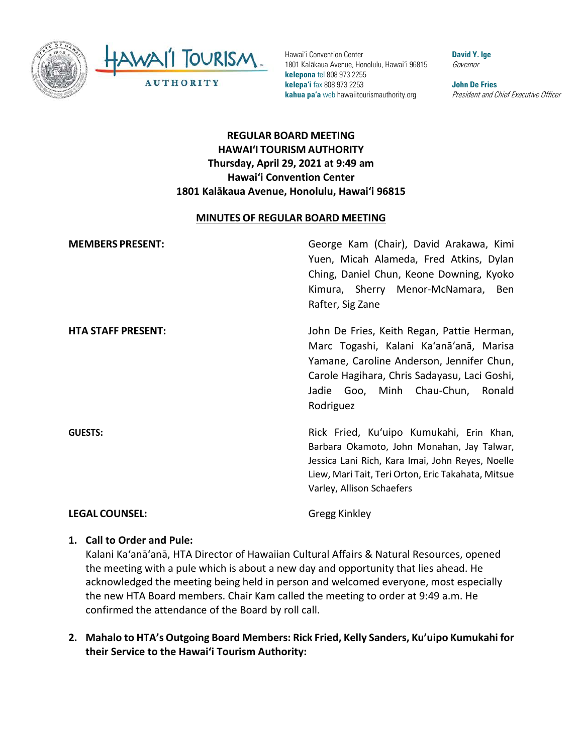



Hawai'i Convention Center 1801 Kalākaua Avenue, Honolulu, Hawai'i 96815 **kelepona** tel 808 973 2255 **kelepa'i** fax 808 973 2253 **kahua pa'a** web hawaiitourismauthority.org

**David Y. Ige** Governor

**John De Fries** President and Chief Executive Officer

# **REGULAR BOARD MEETING HAWAI'I TOURISM AUTHORITY Thursday, April 29, 2021 at 9:49 am Hawai'i Convention Center 1801 Kalākaua Avenue, Honolulu, Hawai'i 96815**

#### **MINUTES OF REGULAR BOARD MEETING**

| <b>MEMBERS PRESENT:</b>   | George Kam (Chair), David Arakawa, Kimi<br>Yuen, Micah Alameda, Fred Atkins, Dylan<br>Ching, Daniel Chun, Keone Downing, Kyoko<br>Kimura, Sherry Menor-McNamara, Ben<br>Rafter, Sig Zane                                             |
|---------------------------|--------------------------------------------------------------------------------------------------------------------------------------------------------------------------------------------------------------------------------------|
| <b>HTA STAFF PRESENT:</b> | John De Fries, Keith Regan, Pattie Herman,<br>Marc Togashi, Kalani Ka'anā'anā, Marisa<br>Yamane, Caroline Anderson, Jennifer Chun,<br>Carole Hagihara, Chris Sadayasu, Laci Goshi,<br>Jadie Goo, Minh Chau-Chun, Ronald<br>Rodriguez |
| <b>GUESTS:</b>            | Rick Fried, Ku'uipo Kumukahi, Erin Khan,<br>Barbara Okamoto, John Monahan, Jay Talwar,<br>Jessica Lani Rich, Kara Imai, John Reyes, Noelle<br>Liew, Mari Tait, Teri Orton, Eric Takahata, Mitsue<br>Varley, Allison Schaefers        |
| <b>LEGAL COUNSEL:</b>     | Gregg Kinkley                                                                                                                                                                                                                        |

### **1. Call to Order and Pule:**

Kalani Ka'anā'anā, HTA Director of Hawaiian Cultural Affairs & Natural Resources, opened the meeting with a pule which is about a new day and opportunity that lies ahead. He acknowledged the meeting being held in person and welcomed everyone, most especially the new HTA Board members. Chair Kam called the meeting to order at 9:49 a.m. He confirmed the attendance of the Board by roll call.

**2. Mahalo to HTA's Outgoing Board Members: Rick Fried, Kelly Sanders, Ku'uipo Kumukahi for their Service to the Hawaiʻi Tourism Authority:**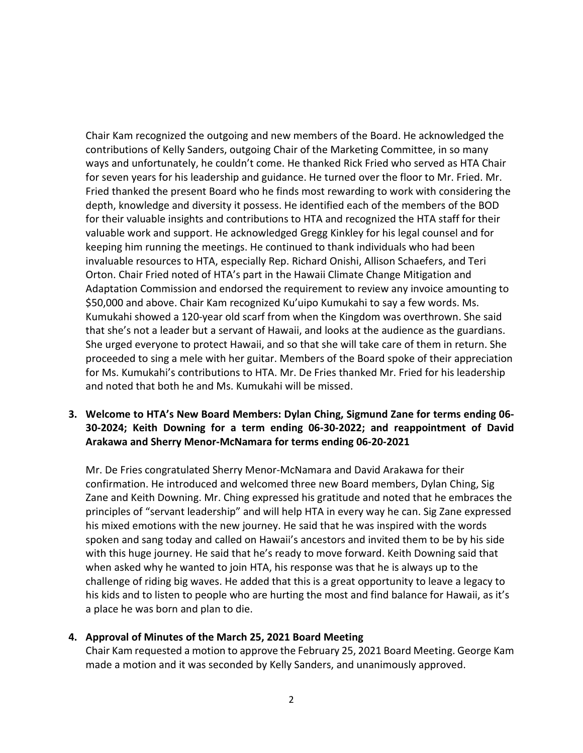Chair Kam recognized the outgoing and new members of the Board. He acknowledged the contributions of Kelly Sanders, outgoing Chair of the Marketing Committee, in so many ways and unfortunately, he couldn't come. He thanked Rick Fried who served as HTA Chair for seven years for his leadership and guidance. He turned over the floor to Mr. Fried. Mr. Fried thanked the present Board who he finds most rewarding to work with considering the depth, knowledge and diversity it possess. He identified each of the members of the BOD for their valuable insights and contributions to HTA and recognized the HTA staff for their valuable work and support. He acknowledged Gregg Kinkley for his legal counsel and for keeping him running the meetings. He continued to thank individuals who had been invaluable resources to HTA, especially Rep. Richard Onishi, Allison Schaefers, and Teri Orton. Chair Fried noted of HTA's part in the Hawaii Climate Change Mitigation and Adaptation Commission and endorsed the requirement to review any invoice amounting to \$50,000 and above. Chair Kam recognized Ku'uipo Kumukahi to say a few words. Ms. Kumukahi showed a 120-year old scarf from when the Kingdom was overthrown. She said that she's not a leader but a servant of Hawaii, and looks at the audience as the guardians. She urged everyone to protect Hawaii, and so that she will take care of them in return. She proceeded to sing a mele with her guitar. Members of the Board spoke of their appreciation for Ms. Kumukahi's contributions to HTA. Mr. De Fries thanked Mr. Fried for his leadership and noted that both he and Ms. Kumukahi will be missed.

### **3. Welcome to HTA's New Board Members: Dylan Ching, Sigmund Zane for terms ending 06- 30-2024; Keith Downing for a term ending 06-30-2022; and reappointment of David Arakawa and Sherry Menor-McNamara for terms ending 06-20-2021**

Mr. De Fries congratulated Sherry Menor-McNamara and David Arakawa for their confirmation. He introduced and welcomed three new Board members, Dylan Ching, Sig Zane and Keith Downing. Mr. Ching expressed his gratitude and noted that he embraces the principles of "servant leadership" and will help HTA in every way he can. Sig Zane expressed his mixed emotions with the new journey. He said that he was inspired with the words spoken and sang today and called on Hawaii's ancestors and invited them to be by his side with this huge journey. He said that he's ready to move forward. Keith Downing said that when asked why he wanted to join HTA, his response was that he is always up to the challenge of riding big waves. He added that this is a great opportunity to leave a legacy to his kids and to listen to people who are hurting the most and find balance for Hawaii, as it's a place he was born and plan to die.

### **4. Approval of Minutes of the March 25, 2021 Board Meeting**

Chair Kam requested a motion to approve the February 25, 2021 Board Meeting. George Kam made a motion and it was seconded by Kelly Sanders, and unanimously approved.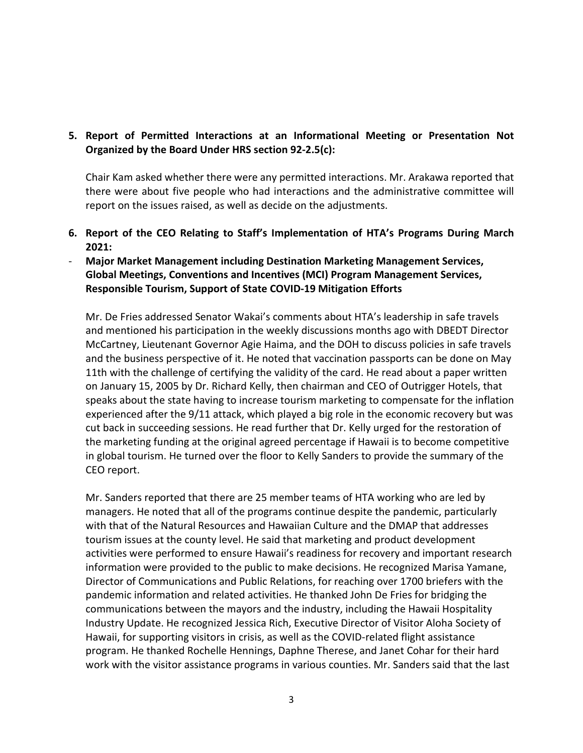## **5. Report of Permitted Interactions at an Informational Meeting or Presentation Not Organized by the Board Under HRS section 92-2.5(c):**

Chair Kam asked whether there were any permitted interactions. Mr. Arakawa reported that there were about five people who had interactions and the administrative committee will report on the issues raised, as well as decide on the adjustments.

- **6. Report of the CEO Relating to Staff's Implementation of HTA's Programs During March 2021:**
- **Major Market Management including Destination Marketing Management Services, Global Meetings, Conventions and Incentives (MCI) Program Management Services, Responsible Tourism, Support of State COVID-19 Mitigation Efforts**

Mr. De Fries addressed Senator Wakai's comments about HTA's leadership in safe travels and mentioned his participation in the weekly discussions months ago with DBEDT Director McCartney, Lieutenant Governor Agie Haima, and the DOH to discuss policies in safe travels and the business perspective of it. He noted that vaccination passports can be done on May 11th with the challenge of certifying the validity of the card. He read about a paper written on January 15, 2005 by Dr. Richard Kelly, then chairman and CEO of Outrigger Hotels, that speaks about the state having to increase tourism marketing to compensate for the inflation experienced after the 9/11 attack, which played a big role in the economic recovery but was cut back in succeeding sessions. He read further that Dr. Kelly urged for the restoration of the marketing funding at the original agreed percentage if Hawaii is to become competitive in global tourism. He turned over the floor to Kelly Sanders to provide the summary of the CEO report.

Mr. Sanders reported that there are 25 member teams of HTA working who are led by managers. He noted that all of the programs continue despite the pandemic, particularly with that of the Natural Resources and Hawaiian Culture and the DMAP that addresses tourism issues at the county level. He said that marketing and product development activities were performed to ensure Hawaii's readiness for recovery and important research information were provided to the public to make decisions. He recognized Marisa Yamane, Director of Communications and Public Relations, for reaching over 1700 briefers with the pandemic information and related activities. He thanked John De Fries for bridging the communications between the mayors and the industry, including the Hawaii Hospitality Industry Update. He recognized Jessica Rich, Executive Director of Visitor Aloha Society of Hawaii, for supporting visitors in crisis, as well as the COVID-related flight assistance program. He thanked Rochelle Hennings, Daphne Therese, and Janet Cohar for their hard work with the visitor assistance programs in various counties. Mr. Sanders said that the last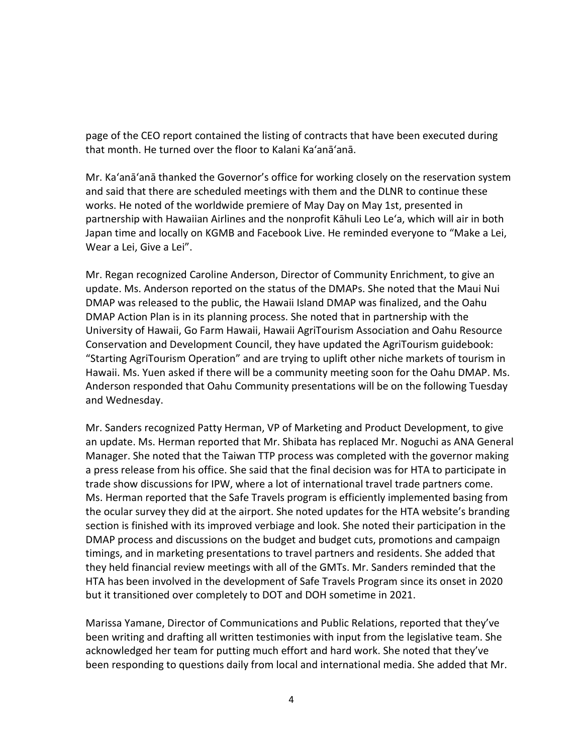page of the CEO report contained the listing of contracts that have been executed during that month. He turned over the floor to Kalani Ka'anā'anā.

Mr. Ka'anā'anā thanked the Governor's office for working closely on the reservation system and said that there are scheduled meetings with them and the DLNR to continue these works. He noted of the worldwide premiere of May Day on May 1st, presented in partnership with Hawaiian Airlines and the nonprofit Kāhuli Leo Leʻa, which will air in both Japan time and locally on KGMB and Facebook Live. He reminded everyone to "Make a Lei, Wear a Lei, Give a Lei".

Mr. Regan recognized Caroline Anderson, Director of Community Enrichment, to give an update. Ms. Anderson reported on the status of the DMAPs. She noted that the Maui Nui DMAP was released to the public, the Hawaii Island DMAP was finalized, and the Oahu DMAP Action Plan is in its planning process. She noted that in partnership with the University of Hawaii, Go Farm Hawaii, Hawaii AgriTourism Association and Oahu Resource Conservation and Development Council, they have updated the AgriTourism guidebook: "Starting AgriTourism Operation" and are trying to uplift other niche markets of tourism in Hawaii. Ms. Yuen asked if there will be a community meeting soon for the Oahu DMAP. Ms. Anderson responded that Oahu Community presentations will be on the following Tuesday and Wednesday.

Mr. Sanders recognized Patty Herman, VP of Marketing and Product Development, to give an update. Ms. Herman reported that Mr. Shibata has replaced Mr. Noguchi as ANA General Manager. She noted that the Taiwan TTP process was completed with the governor making a press release from his office. She said that the final decision was for HTA to participate in trade show discussions for IPW, where a lot of international travel trade partners come. Ms. Herman reported that the Safe Travels program is efficiently implemented basing from the ocular survey they did at the airport. She noted updates for the HTA website's branding section is finished with its improved verbiage and look. She noted their participation in the DMAP process and discussions on the budget and budget cuts, promotions and campaign timings, and in marketing presentations to travel partners and residents. She added that they held financial review meetings with all of the GMTs. Mr. Sanders reminded that the HTA has been involved in the development of Safe Travels Program since its onset in 2020 but it transitioned over completely to DOT and DOH sometime in 2021.

Marissa Yamane, Director of Communications and Public Relations, reported that they've been writing and drafting all written testimonies with input from the legislative team. She acknowledged her team for putting much effort and hard work. She noted that they've been responding to questions daily from local and international media. She added that Mr.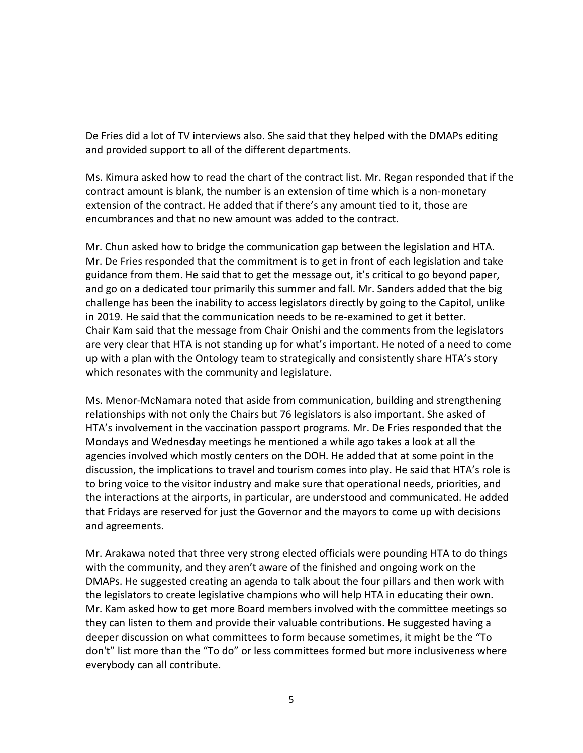De Fries did a lot of TV interviews also. She said that they helped with the DMAPs editing and provided support to all of the different departments.

Ms. Kimura asked how to read the chart of the contract list. Mr. Regan responded that if the contract amount is blank, the number is an extension of time which is a non-monetary extension of the contract. He added that if there's any amount tied to it, those are encumbrances and that no new amount was added to the contract.

Mr. Chun asked how to bridge the communication gap between the legislation and HTA. Mr. De Fries responded that the commitment is to get in front of each legislation and take guidance from them. He said that to get the message out, it's critical to go beyond paper, and go on a dedicated tour primarily this summer and fall. Mr. Sanders added that the big challenge has been the inability to access legislators directly by going to the Capitol, unlike in 2019. He said that the communication needs to be re-examined to get it better. Chair Kam said that the message from Chair Onishi and the comments from the legislators are very clear that HTA is not standing up for what's important. He noted of a need to come up with a plan with the Ontology team to strategically and consistently share HTA's story which resonates with the community and legislature.

Ms. Menor-McNamara noted that aside from communication, building and strengthening relationships with not only the Chairs but 76 legislators is also important. She asked of HTA's involvement in the vaccination passport programs. Mr. De Fries responded that the Mondays and Wednesday meetings he mentioned a while ago takes a look at all the agencies involved which mostly centers on the DOH. He added that at some point in the discussion, the implications to travel and tourism comes into play. He said that HTA's role is to bring voice to the visitor industry and make sure that operational needs, priorities, and the interactions at the airports, in particular, are understood and communicated. He added that Fridays are reserved for just the Governor and the mayors to come up with decisions and agreements.

Mr. Arakawa noted that three very strong elected officials were pounding HTA to do things with the community, and they aren't aware of the finished and ongoing work on the DMAPs. He suggested creating an agenda to talk about the four pillars and then work with the legislators to create legislative champions who will help HTA in educating their own. Mr. Kam asked how to get more Board members involved with the committee meetings so they can listen to them and provide their valuable contributions. He suggested having a deeper discussion on what committees to form because sometimes, it might be the "To don't" list more than the "To do" or less committees formed but more inclusiveness where everybody can all contribute.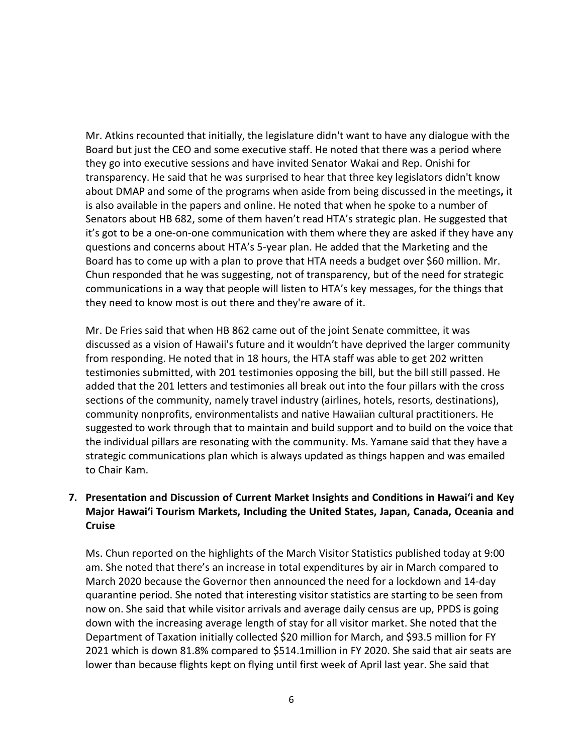Mr. Atkins recounted that initially, the legislature didn't want to have any dialogue with the Board but just the CEO and some executive staff. He noted that there was a period where they go into executive sessions and have invited Senator Wakai and Rep. Onishi for transparency. He said that he was surprised to hear that three key legislators didn't know about DMAP and some of the programs when aside from being discussed in the meetings**,** it is also available in the papers and online. He noted that when he spoke to a number of Senators about HB 682, some of them haven't read HTA's strategic plan. He suggested that it's got to be a one-on-one communication with them where they are asked if they have any questions and concerns about HTA's 5-year plan. He added that the Marketing and the Board has to come up with a plan to prove that HTA needs a budget over \$60 million. Mr. Chun responded that he was suggesting, not of transparency, but of the need for strategic communications in a way that people will listen to HTA's key messages, for the things that they need to know most is out there and they're aware of it.

Mr. De Fries said that when HB 862 came out of the joint Senate committee, it was discussed as a vision of Hawaii's future and it wouldn't have deprived the larger community from responding. He noted that in 18 hours, the HTA staff was able to get 202 written testimonies submitted, with 201 testimonies opposing the bill, but the bill still passed. He added that the 201 letters and testimonies all break out into the four pillars with the cross sections of the community, namely travel industry (airlines, hotels, resorts, destinations), community nonprofits, environmentalists and native Hawaiian cultural practitioners. He suggested to work through that to maintain and build support and to build on the voice that the individual pillars are resonating with the community. Ms. Yamane said that they have a strategic communications plan which is always updated as things happen and was emailed to Chair Kam.

## **7. Presentation and Discussion of Current Market Insights and Conditions in Hawai'i and Key Major Hawai'i Tourism Markets, Including the United States, Japan, Canada, Oceania and Cruise**

Ms. Chun reported on the highlights of the March Visitor Statistics published today at 9:00 am. She noted that there's an increase in total expenditures by air in March compared to March 2020 because the Governor then announced the need for a lockdown and 14-day quarantine period. She noted that interesting visitor statistics are starting to be seen from now on. She said that while visitor arrivals and average daily census are up, PPDS is going down with the increasing average length of stay for all visitor market. She noted that the Department of Taxation initially collected \$20 million for March, and \$93.5 million for FY 2021 which is down 81.8% compared to \$514.1million in FY 2020. She said that air seats are lower than because flights kept on flying until first week of April last year. She said that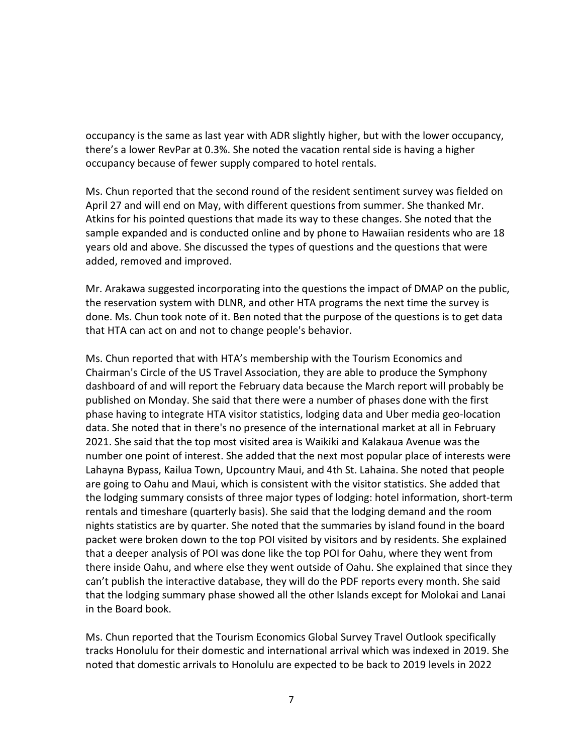occupancy is the same as last year with ADR slightly higher, but with the lower occupancy, there's a lower RevPar at 0.3%. She noted the vacation rental side is having a higher occupancy because of fewer supply compared to hotel rentals.

Ms. Chun reported that the second round of the resident sentiment survey was fielded on April 27 and will end on May, with different questions from summer. She thanked Mr. Atkins for his pointed questions that made its way to these changes. She noted that the sample expanded and is conducted online and by phone to Hawaiian residents who are 18 years old and above. She discussed the types of questions and the questions that were added, removed and improved.

Mr. Arakawa suggested incorporating into the questions the impact of DMAP on the public, the reservation system with DLNR, and other HTA programs the next time the survey is done. Ms. Chun took note of it. Ben noted that the purpose of the questions is to get data that HTA can act on and not to change people's behavior.

Ms. Chun reported that with HTA's membership with the Tourism Economics and Chairman's Circle of the US Travel Association, they are able to produce the Symphony dashboard of and will report the February data because the March report will probably be published on Monday. She said that there were a number of phases done with the first phase having to integrate HTA visitor statistics, lodging data and Uber media geo-location data. She noted that in there's no presence of the international market at all in February 2021. She said that the top most visited area is Waikiki and Kalakaua Avenue was the number one point of interest. She added that the next most popular place of interests were Lahayna Bypass, Kailua Town, Upcountry Maui, and 4th St. Lahaina. She noted that people are going to Oahu and Maui, which is consistent with the visitor statistics. She added that the lodging summary consists of three major types of lodging: hotel information, short-term rentals and timeshare (quarterly basis). She said that the lodging demand and the room nights statistics are by quarter. She noted that the summaries by island found in the board packet were broken down to the top POI visited by visitors and by residents. She explained that a deeper analysis of POI was done like the top POI for Oahu, where they went from there inside Oahu, and where else they went outside of Oahu. She explained that since they can't publish the interactive database, they will do the PDF reports every month. She said that the lodging summary phase showed all the other Islands except for Molokai and Lanai in the Board book.

Ms. Chun reported that the Tourism Economics Global Survey Travel Outlook specifically tracks Honolulu for their domestic and international arrival which was indexed in 2019. She noted that domestic arrivals to Honolulu are expected to be back to 2019 levels in 2022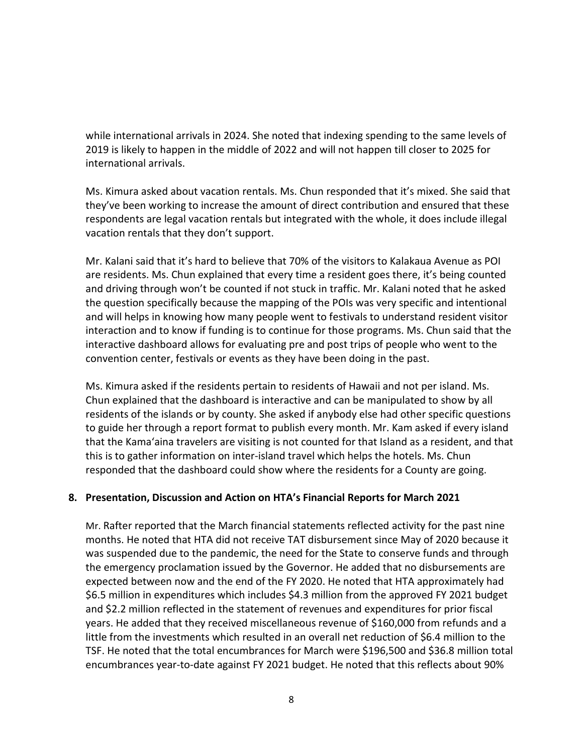while international arrivals in 2024. She noted that indexing spending to the same levels of 2019 is likely to happen in the middle of 2022 and will not happen till closer to 2025 for international arrivals.

Ms. Kimura asked about vacation rentals. Ms. Chun responded that it's mixed. She said that they've been working to increase the amount of direct contribution and ensured that these respondents are legal vacation rentals but integrated with the whole, it does include illegal vacation rentals that they don't support.

Mr. Kalani said that it's hard to believe that 70% of the visitors to Kalakaua Avenue as POI are residents. Ms. Chun explained that every time a resident goes there, it's being counted and driving through won't be counted if not stuck in traffic. Mr. Kalani noted that he asked the question specifically because the mapping of the POIs was very specific and intentional and will helps in knowing how many people went to festivals to understand resident visitor interaction and to know if funding is to continue for those programs. Ms. Chun said that the interactive dashboard allows for evaluating pre and post trips of people who went to the convention center, festivals or events as they have been doing in the past.

Ms. Kimura asked if the residents pertain to residents of Hawaii and not per island. Ms. Chun explained that the dashboard is interactive and can be manipulated to show by all residents of the islands or by county. She asked if anybody else had other specific questions to guide her through a report format to publish every month. Mr. Kam asked if every island that the Kama'aina travelers are visiting is not counted for that Island as a resident, and that this is to gather information on inter-island travel which helps the hotels. Ms. Chun responded that the dashboard could show where the residents for a County are going.

### **8. Presentation, Discussion and Action on HTA's Financial Reports for March 2021**

Mr. Rafter reported that the March financial statements reflected activity for the past nine months. He noted that HTA did not receive TAT disbursement since May of 2020 because it was suspended due to the pandemic, the need for the State to conserve funds and through the emergency proclamation issued by the Governor. He added that no disbursements are expected between now and the end of the FY 2020. He noted that HTA approximately had \$6.5 million in expenditures which includes \$4.3 million from the approved FY 2021 budget and \$2.2 million reflected in the statement of revenues and expenditures for prior fiscal years. He added that they received miscellaneous revenue of \$160,000 from refunds and a little from the investments which resulted in an overall net reduction of \$6.4 million to the TSF. He noted that the total encumbrances for March were \$196,500 and \$36.8 million total encumbrances year-to-date against FY 2021 budget. He noted that this reflects about 90%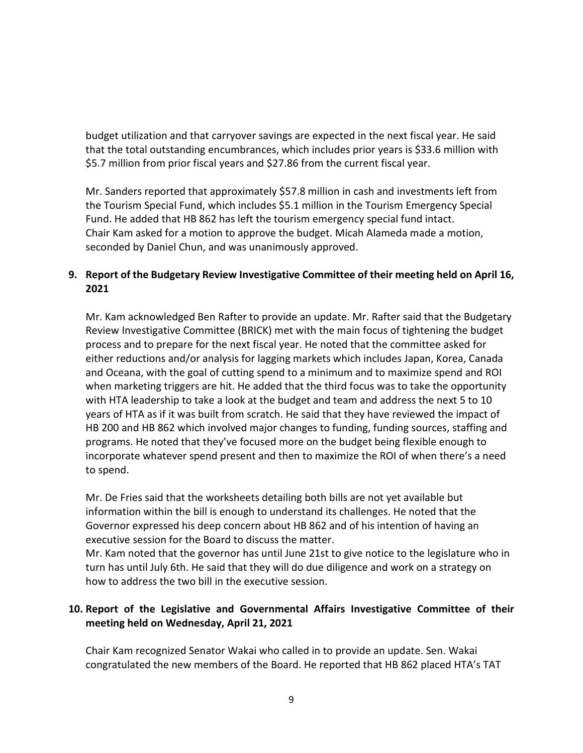budget utilization and that carryover savings are expected in the next fiscal year. He said that the total outstanding encumbrances, which includes prior years is \$33.6 million with \$5.7 million from prior fiscal years and \$27.86 from the current fiscal year.

Mr. Sanders reported that approximately \$57.8 million in cash and investments left from the Tourism Special Fund, which includes \$5.1 million in the Tourism Emergency Special Fund. He added that HB 862 has left the tourism emergency special fund intact. Chair Kam asked for a motion to approve the budget. Micah Alameda made a motion, seconded by Daniel Chun, and was unanimously approved.

## **9. Report of the Budgetary Review Investigative Committee of their meeting held on April 16, 2021**

Mr. Kam acknowledged Ben Rafter to provide an update. Mr. Rafter said that the Budgetary Review Investigative Committee (BRICK) met with the main focus of tightening the budget process and to prepare for the next fiscal year. He noted that the committee asked for either reductions and/or analysis for lagging markets which includes Japan, Korea, Canada and Oceana, with the goal of cutting spend to a minimum and to maximize spend and ROI when marketing triggers are hit. He added that the third focus was to take the opportunity with HTA leadership to take a look at the budget and team and address the next 5 to 10 years of HTA as if it was built from scratch. He said that they have reviewed the impact of HB 200 and HB 862 which involved major changes to funding, funding sources, staffing and programs. He noted that they've focused more on the budget being flexible enough to incorporate whatever spend present and then to maximize the ROI of when there's a need to spend.

Mr. De Fries said that the worksheets detailing both bills are not yet available but information within the bill is enough to understand its challenges. He noted that the Governor expressed his deep concern about HB 862 and of his intention of having an executive session for the Board to discuss the matter.

Mr. Kam noted that the governor has until June 21st to give notice to the legislature who in turn has until July 6th. He said that they will do due diligence and work on a strategy on how to address the two bill in the executive session.

## **10. Report of the Legislative and Governmental Affairs Investigative Committee of their meeting held on Wednesday, April 21, 2021**

Chair Kam recognized Senator Wakai who called in to provide an update. Sen. Wakai congratulated the new members of the Board. He reported that HB 862 placed HTA's TAT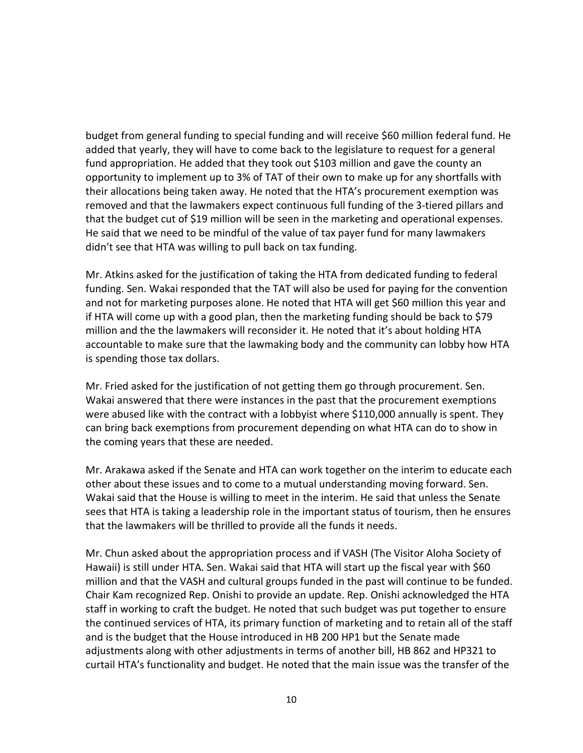budget from general funding to special funding and will receive \$60 million federal fund. He added that yearly, they will have to come back to the legislature to request for a general fund appropriation. He added that they took out \$103 million and gave the county an opportunity to implement up to 3% of TAT of their own to make up for any shortfalls with their allocations being taken away. He noted that the HTA's procurement exemption was removed and that the lawmakers expect continuous full funding of the 3-tiered pillars and that the budget cut of \$19 million will be seen in the marketing and operational expenses. He said that we need to be mindful of the value of tax payer fund for many lawmakers didn't see that HTA was willing to pull back on tax funding.

Mr. Atkins asked for the justification of taking the HTA from dedicated funding to federal funding. Sen. Wakai responded that the TAT will also be used for paying for the convention and not for marketing purposes alone. He noted that HTA will get \$60 million this year and if HTA will come up with a good plan, then the marketing funding should be back to \$79 million and the the lawmakers will reconsider it. He noted that it's about holding HTA accountable to make sure that the lawmaking body and the community can lobby how HTA is spending those tax dollars.

Mr. Fried asked for the justification of not getting them go through procurement. Sen. Wakai answered that there were instances in the past that the procurement exemptions were abused like with the contract with a lobbyist where \$110,000 annually is spent. They can bring back exemptions from procurement depending on what HTA can do to show in the coming years that these are needed.

Mr. Arakawa asked if the Senate and HTA can work together on the interim to educate each other about these issues and to come to a mutual understanding moving forward. Sen. Wakai said that the House is willing to meet in the interim. He said that unless the Senate sees that HTA is taking a leadership role in the important status of tourism, then he ensures that the lawmakers will be thrilled to provide all the funds it needs.

Mr. Chun asked about the appropriation process and if VASH (The Visitor Aloha Society of Hawaii) is still under HTA. Sen. Wakai said that HTA will start up the fiscal year with \$60 million and that the VASH and cultural groups funded in the past will continue to be funded. Chair Kam recognized Rep. Onishi to provide an update. Rep. Onishi acknowledged the HTA staff in working to craft the budget. He noted that such budget was put together to ensure the continued services of HTA, its primary function of marketing and to retain all of the staff and is the budget that the House introduced in HB 200 HP1 but the Senate made adjustments along with other adjustments in terms of another bill, HB 862 and HP321 to curtail HTA's functionality and budget. He noted that the main issue was the transfer of the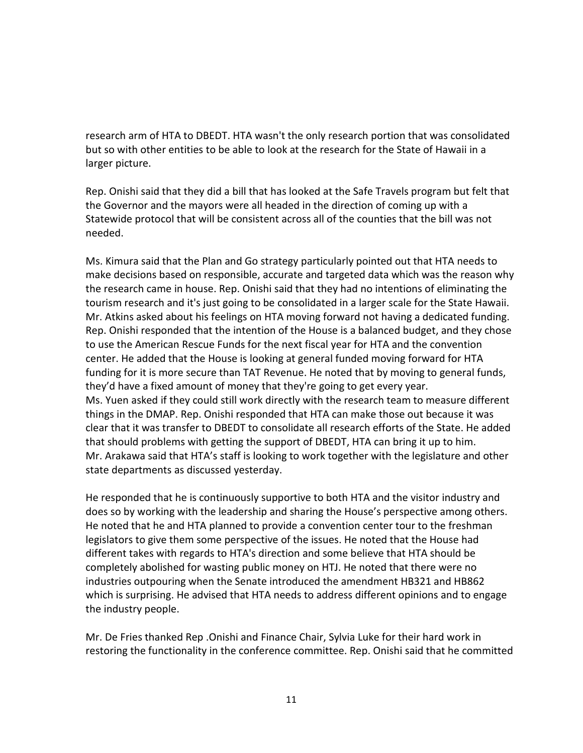research arm of HTA to DBEDT. HTA wasn't the only research portion that was consolidated but so with other entities to be able to look at the research for the State of Hawaii in a larger picture.

Rep. Onishi said that they did a bill that has looked at the Safe Travels program but felt that the Governor and the mayors were all headed in the direction of coming up with a Statewide protocol that will be consistent across all of the counties that the bill was not needed.

Ms. Kimura said that the Plan and Go strategy particularly pointed out that HTA needs to make decisions based on responsible, accurate and targeted data which was the reason why the research came in house. Rep. Onishi said that they had no intentions of eliminating the tourism research and it's just going to be consolidated in a larger scale for the State Hawaii. Mr. Atkins asked about his feelings on HTA moving forward not having a dedicated funding. Rep. Onishi responded that the intention of the House is a balanced budget, and they chose to use the American Rescue Funds for the next fiscal year for HTA and the convention center. He added that the House is looking at general funded moving forward for HTA funding for it is more secure than TAT Revenue. He noted that by moving to general funds, they'd have a fixed amount of money that they're going to get every year. Ms. Yuen asked if they could still work directly with the research team to measure different things in the DMAP. Rep. Onishi responded that HTA can make those out because it was clear that it was transfer to DBEDT to consolidate all research efforts of the State. He added that should problems with getting the support of DBEDT, HTA can bring it up to him. Mr. Arakawa said that HTA's staff is looking to work together with the legislature and other state departments as discussed yesterday.

He responded that he is continuously supportive to both HTA and the visitor industry and does so by working with the leadership and sharing the House's perspective among others. He noted that he and HTA planned to provide a convention center tour to the freshman legislators to give them some perspective of the issues. He noted that the House had different takes with regards to HTA's direction and some believe that HTA should be completely abolished for wasting public money on HTJ. He noted that there were no industries outpouring when the Senate introduced the amendment HB321 and HB862 which is surprising. He advised that HTA needs to address different opinions and to engage the industry people.

Mr. De Fries thanked Rep .Onishi and Finance Chair, Sylvia Luke for their hard work in restoring the functionality in the conference committee. Rep. Onishi said that he committed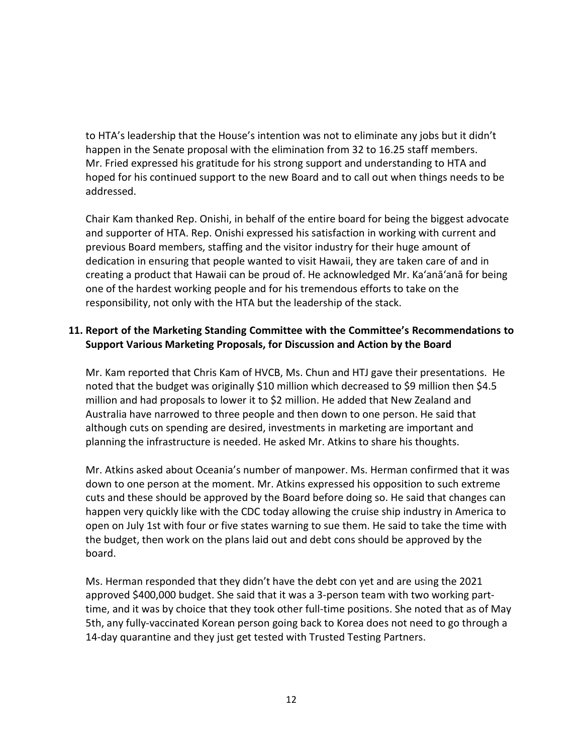to HTA's leadership that the House's intention was not to eliminate any jobs but it didn't happen in the Senate proposal with the elimination from 32 to 16.25 staff members. Mr. Fried expressed his gratitude for his strong support and understanding to HTA and hoped for his continued support to the new Board and to call out when things needs to be addressed.

Chair Kam thanked Rep. Onishi, in behalf of the entire board for being the biggest advocate and supporter of HTA. Rep. Onishi expressed his satisfaction in working with current and previous Board members, staffing and the visitor industry for their huge amount of dedication in ensuring that people wanted to visit Hawaii, they are taken care of and in creating a product that Hawaii can be proud of. He acknowledged Mr. Ka'anā'anā for being one of the hardest working people and for his tremendous efforts to take on the responsibility, not only with the HTA but the leadership of the stack.

## **11. Report of the Marketing Standing Committee with the Committee's Recommendations to Support Various Marketing Proposals, for Discussion and Action by the Board**

Mr. Kam reported that Chris Kam of HVCB, Ms. Chun and HTJ gave their presentations. He noted that the budget was originally \$10 million which decreased to \$9 million then \$4.5 million and had proposals to lower it to \$2 million. He added that New Zealand and Australia have narrowed to three people and then down to one person. He said that although cuts on spending are desired, investments in marketing are important and planning the infrastructure is needed. He asked Mr. Atkins to share his thoughts.

Mr. Atkins asked about Oceania's number of manpower. Ms. Herman confirmed that it was down to one person at the moment. Mr. Atkins expressed his opposition to such extreme cuts and these should be approved by the Board before doing so. He said that changes can happen very quickly like with the CDC today allowing the cruise ship industry in America to open on July 1st with four or five states warning to sue them. He said to take the time with the budget, then work on the plans laid out and debt cons should be approved by the board.

Ms. Herman responded that they didn't have the debt con yet and are using the 2021 approved \$400,000 budget. She said that it was a 3-person team with two working parttime, and it was by choice that they took other full-time positions. She noted that as of May 5th, any fully-vaccinated Korean person going back to Korea does not need to go through a 14-day quarantine and they just get tested with Trusted Testing Partners.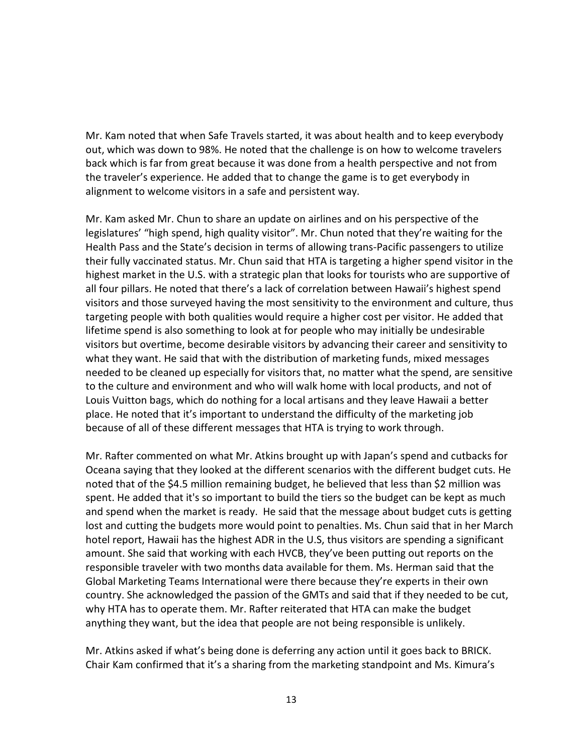Mr. Kam noted that when Safe Travels started, it was about health and to keep everybody out, which was down to 98%. He noted that the challenge is on how to welcome travelers back which is far from great because it was done from a health perspective and not from the traveler's experience. He added that to change the game is to get everybody in alignment to welcome visitors in a safe and persistent way.

Mr. Kam asked Mr. Chun to share an update on airlines and on his perspective of the legislatures' "high spend, high quality visitor". Mr. Chun noted that they're waiting for the Health Pass and the State's decision in terms of allowing trans-Pacific passengers to utilize their fully vaccinated status. Mr. Chun said that HTA is targeting a higher spend visitor in the highest market in the U.S. with a strategic plan that looks for tourists who are supportive of all four pillars. He noted that there's a lack of correlation between Hawaii's highest spend visitors and those surveyed having the most sensitivity to the environment and culture, thus targeting people with both qualities would require a higher cost per visitor. He added that lifetime spend is also something to look at for people who may initially be undesirable visitors but overtime, become desirable visitors by advancing their career and sensitivity to what they want. He said that with the distribution of marketing funds, mixed messages needed to be cleaned up especially for visitors that, no matter what the spend, are sensitive to the culture and environment and who will walk home with local products, and not of Louis Vuitton bags, which do nothing for a local artisans and they leave Hawaii a better place. He noted that it's important to understand the difficulty of the marketing job because of all of these different messages that HTA is trying to work through.

Mr. Rafter commented on what Mr. Atkins brought up with Japan's spend and cutbacks for Oceana saying that they looked at the different scenarios with the different budget cuts. He noted that of the \$4.5 million remaining budget, he believed that less than \$2 million was spent. He added that it's so important to build the tiers so the budget can be kept as much and spend when the market is ready. He said that the message about budget cuts is getting lost and cutting the budgets more would point to penalties. Ms. Chun said that in her March hotel report, Hawaii has the highest ADR in the U.S, thus visitors are spending a significant amount. She said that working with each HVCB, they've been putting out reports on the responsible traveler with two months data available for them. Ms. Herman said that the Global Marketing Teams International were there because they're experts in their own country. She acknowledged the passion of the GMTs and said that if they needed to be cut, why HTA has to operate them. Mr. Rafter reiterated that HTA can make the budget anything they want, but the idea that people are not being responsible is unlikely.

Mr. Atkins asked if what's being done is deferring any action until it goes back to BRICK. Chair Kam confirmed that it's a sharing from the marketing standpoint and Ms. Kimura's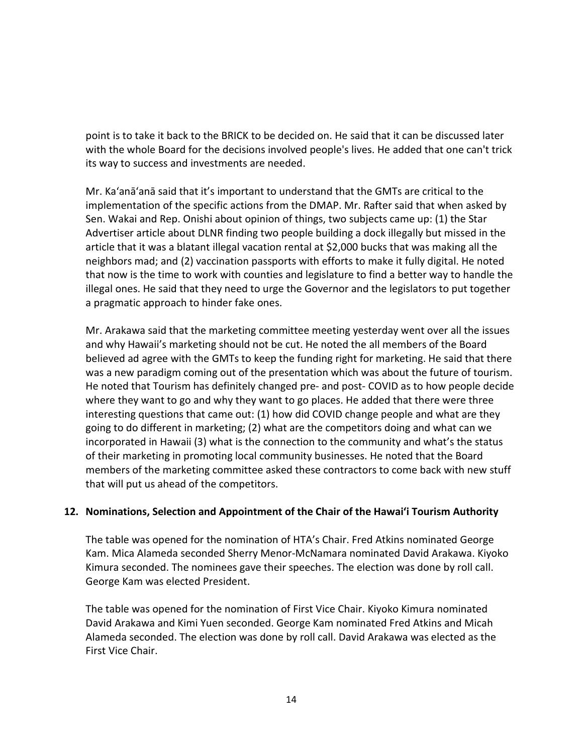point is to take it back to the BRICK to be decided on. He said that it can be discussed later with the whole Board for the decisions involved people's lives. He added that one can't trick its way to success and investments are needed.

Mr. Ka'anā'anā said that it's important to understand that the GMTs are critical to the implementation of the specific actions from the DMAP. Mr. Rafter said that when asked by Sen. Wakai and Rep. Onishi about opinion of things, two subjects came up: (1) the Star Advertiser article about DLNR finding two people building a dock illegally but missed in the article that it was a blatant illegal vacation rental at \$2,000 bucks that was making all the neighbors mad; and (2) vaccination passports with efforts to make it fully digital. He noted that now is the time to work with counties and legislature to find a better way to handle the illegal ones. He said that they need to urge the Governor and the legislators to put together a pragmatic approach to hinder fake ones.

Mr. Arakawa said that the marketing committee meeting yesterday went over all the issues and why Hawaii's marketing should not be cut. He noted the all members of the Board believed ad agree with the GMTs to keep the funding right for marketing. He said that there was a new paradigm coming out of the presentation which was about the future of tourism. He noted that Tourism has definitely changed pre- and post- COVID as to how people decide where they want to go and why they want to go places. He added that there were three interesting questions that came out: (1) how did COVID change people and what are they going to do different in marketing; (2) what are the competitors doing and what can we incorporated in Hawaii (3) what is the connection to the community and what's the status of their marketing in promoting local community businesses. He noted that the Board members of the marketing committee asked these contractors to come back with new stuff that will put us ahead of the competitors.

### **12. Nominations, Selection and Appointment of the Chair of the Hawaiʻi Tourism Authority**

The table was opened for the nomination of HTA's Chair. Fred Atkins nominated George Kam. Mica Alameda seconded Sherry Menor-McNamara nominated David Arakawa. Kiyoko Kimura seconded. The nominees gave their speeches. The election was done by roll call. George Kam was elected President.

The table was opened for the nomination of First Vice Chair. Kiyoko Kimura nominated David Arakawa and Kimi Yuen seconded. George Kam nominated Fred Atkins and Micah Alameda seconded. The election was done by roll call. David Arakawa was elected as the First Vice Chair.